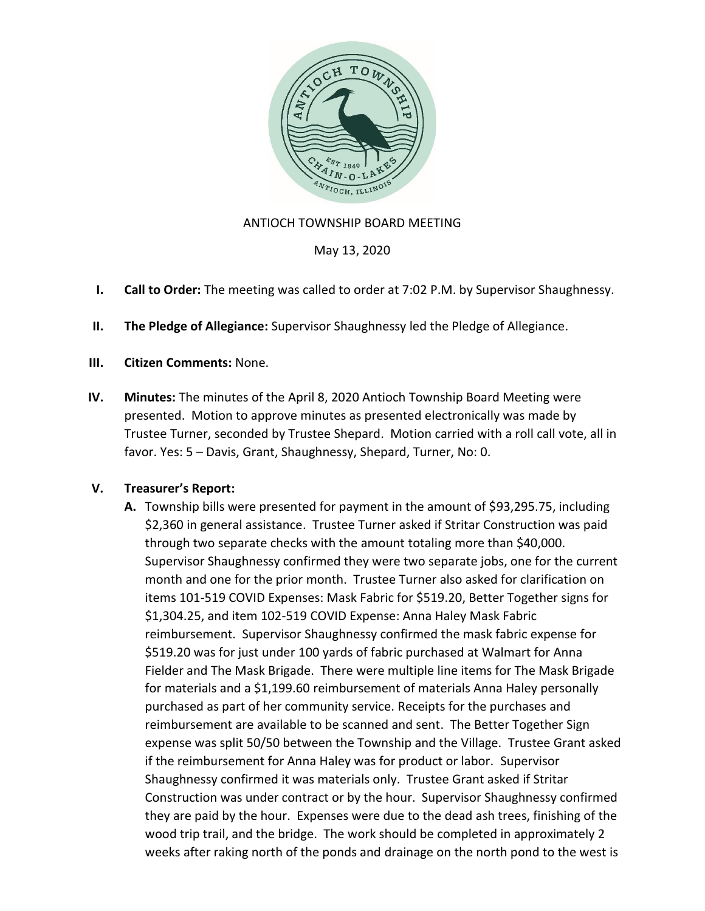

## ANTIOCH TOWNSHIP BOARD MEETING

May 13, 2020

- **I. Call to Order:** The meeting was called to order at 7:02 P.M. by Supervisor Shaughnessy.
- **II. The Pledge of Allegiance:** Supervisor Shaughnessy led the Pledge of Allegiance.
- **III. Citizen Comments:** None.
- **IV. Minutes:** The minutes of the April 8, 2020 Antioch Township Board Meeting were presented. Motion to approve minutes as presented electronically was made by Trustee Turner, seconded by Trustee Shepard. Motion carried with a roll call vote, all in favor. Yes: 5 – Davis, Grant, Shaughnessy, Shepard, Turner, No: 0.

### **V. Treasurer's Report:**

**A.** Township bills were presented for payment in the amount of \$93,295.75, including \$2,360 in general assistance. Trustee Turner asked if Stritar Construction was paid through two separate checks with the amount totaling more than \$40,000. Supervisor Shaughnessy confirmed they were two separate jobs, one for the current month and one for the prior month. Trustee Turner also asked for clarification on items 101-519 COVID Expenses: Mask Fabric for \$519.20, Better Together signs for \$1,304.25, and item 102-519 COVID Expense: Anna Haley Mask Fabric reimbursement. Supervisor Shaughnessy confirmed the mask fabric expense for \$519.20 was for just under 100 yards of fabric purchased at Walmart for Anna Fielder and The Mask Brigade. There were multiple line items for The Mask Brigade for materials and a \$1,199.60 reimbursement of materials Anna Haley personally purchased as part of her community service. Receipts for the purchases and reimbursement are available to be scanned and sent. The Better Together Sign expense was split 50/50 between the Township and the Village. Trustee Grant asked if the reimbursement for Anna Haley was for product or labor. Supervisor Shaughnessy confirmed it was materials only. Trustee Grant asked if Stritar Construction was under contract or by the hour. Supervisor Shaughnessy confirmed they are paid by the hour. Expenses were due to the dead ash trees, finishing of the wood trip trail, and the bridge. The work should be completed in approximately 2 weeks after raking north of the ponds and drainage on the north pond to the west is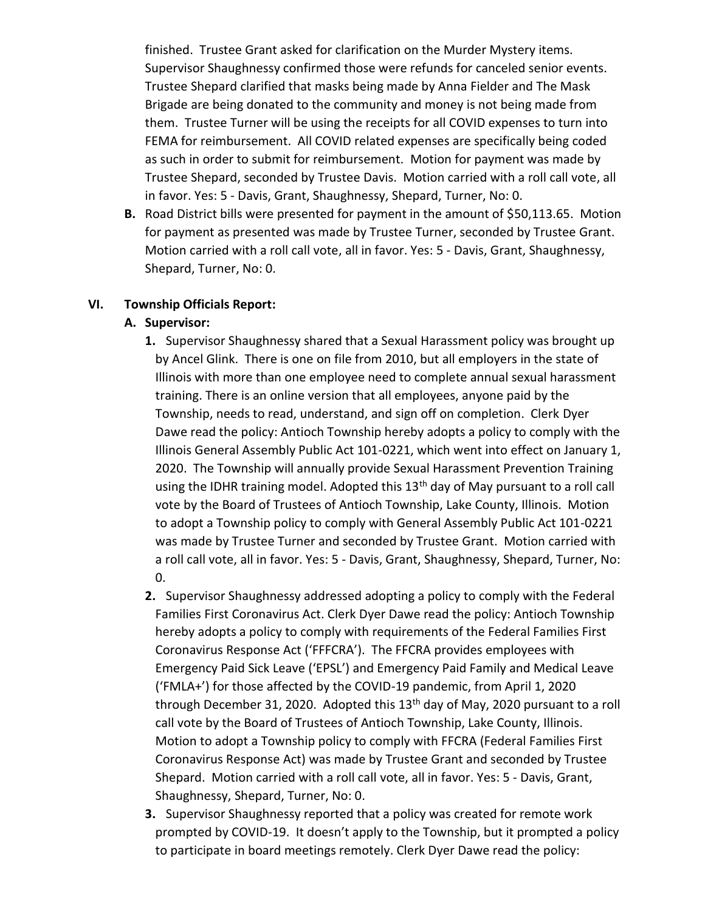finished. Trustee Grant asked for clarification on the Murder Mystery items. Supervisor Shaughnessy confirmed those were refunds for canceled senior events. Trustee Shepard clarified that masks being made by Anna Fielder and The Mask Brigade are being donated to the community and money is not being made from them. Trustee Turner will be using the receipts for all COVID expenses to turn into FEMA for reimbursement. All COVID related expenses are specifically being coded as such in order to submit for reimbursement. Motion for payment was made by Trustee Shepard, seconded by Trustee Davis. Motion carried with a roll call vote, all in favor. Yes: 5 - Davis, Grant, Shaughnessy, Shepard, Turner, No: 0.

**B.** Road District bills were presented for payment in the amount of \$50,113.65. Motion for payment as presented was made by Trustee Turner, seconded by Trustee Grant. Motion carried with a roll call vote, all in favor. Yes: 5 - Davis, Grant, Shaughnessy, Shepard, Turner, No: 0.

### **VI. Township Officials Report:**

#### **A. Supervisor:**

- **1.** Supervisor Shaughnessy shared that a Sexual Harassment policy was brought up by Ancel Glink. There is one on file from 2010, but all employers in the state of Illinois with more than one employee need to complete annual sexual harassment training. There is an online version that all employees, anyone paid by the Township, needs to read, understand, and sign off on completion. Clerk Dyer Dawe read the policy: Antioch Township hereby adopts a policy to comply with the Illinois General Assembly Public Act 101-0221, which went into effect on January 1, 2020. The Township will annually provide Sexual Harassment Prevention Training using the IDHR training model. Adopted this  $13<sup>th</sup>$  day of May pursuant to a roll call vote by the Board of Trustees of Antioch Township, Lake County, Illinois. Motion to adopt a Township policy to comply with General Assembly Public Act 101-0221 was made by Trustee Turner and seconded by Trustee Grant. Motion carried with a roll call vote, all in favor. Yes: 5 - Davis, Grant, Shaughnessy, Shepard, Turner, No:  $0<sub>l</sub>$
- **2.** Supervisor Shaughnessy addressed adopting a policy to comply with the Federal Families First Coronavirus Act. Clerk Dyer Dawe read the policy: Antioch Township hereby adopts a policy to comply with requirements of the Federal Families First Coronavirus Response Act ('FFFCRA'). The FFCRA provides employees with Emergency Paid Sick Leave ('EPSL') and Emergency Paid Family and Medical Leave ('FMLA+') for those affected by the COVID-19 pandemic, from April 1, 2020 through December 31, 2020. Adopted this 13th day of May, 2020 pursuant to a roll call vote by the Board of Trustees of Antioch Township, Lake County, Illinois. Motion to adopt a Township policy to comply with FFCRA (Federal Families First Coronavirus Response Act) was made by Trustee Grant and seconded by Trustee Shepard. Motion carried with a roll call vote, all in favor. Yes: 5 - Davis, Grant, Shaughnessy, Shepard, Turner, No: 0.
- **3.** Supervisor Shaughnessy reported that a policy was created for remote work prompted by COVID-19. It doesn't apply to the Township, but it prompted a policy to participate in board meetings remotely. Clerk Dyer Dawe read the policy: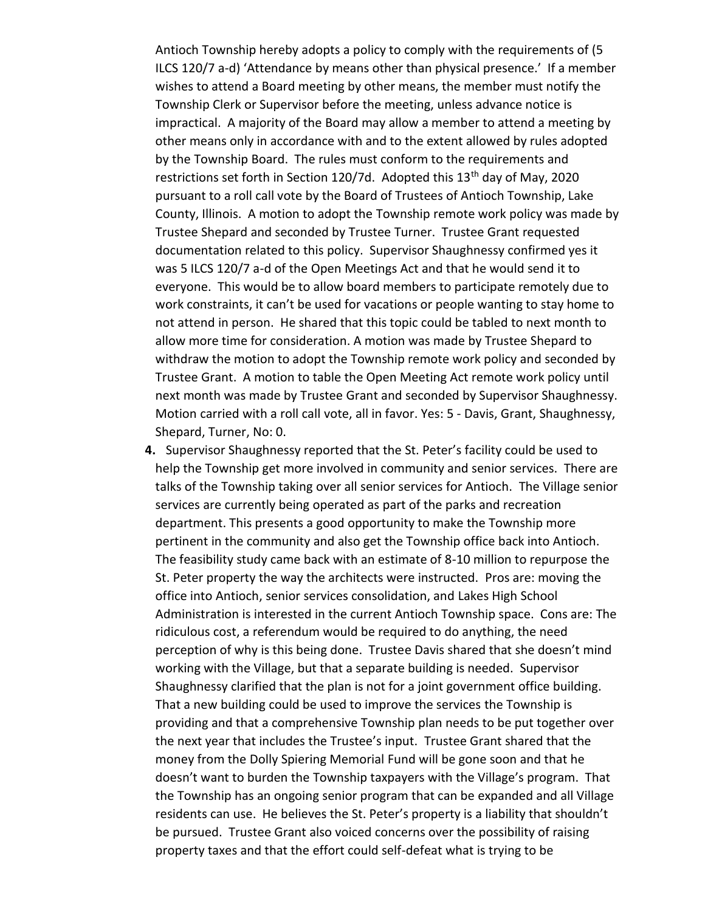Antioch Township hereby adopts a policy to comply with the requirements of (5 ILCS 120/7 a-d) 'Attendance by means other than physical presence.' If a member wishes to attend a Board meeting by other means, the member must notify the Township Clerk or Supervisor before the meeting, unless advance notice is impractical. A majority of the Board may allow a member to attend a meeting by other means only in accordance with and to the extent allowed by rules adopted by the Township Board. The rules must conform to the requirements and restrictions set forth in Section 120/7d. Adopted this 13<sup>th</sup> day of May, 2020 pursuant to a roll call vote by the Board of Trustees of Antioch Township, Lake County, Illinois. A motion to adopt the Township remote work policy was made by Trustee Shepard and seconded by Trustee Turner. Trustee Grant requested documentation related to this policy. Supervisor Shaughnessy confirmed yes it was 5 ILCS 120/7 a-d of the Open Meetings Act and that he would send it to everyone. This would be to allow board members to participate remotely due to work constraints, it can't be used for vacations or people wanting to stay home to not attend in person. He shared that this topic could be tabled to next month to allow more time for consideration. A motion was made by Trustee Shepard to withdraw the motion to adopt the Township remote work policy and seconded by Trustee Grant. A motion to table the Open Meeting Act remote work policy until next month was made by Trustee Grant and seconded by Supervisor Shaughnessy. Motion carried with a roll call vote, all in favor. Yes: 5 - Davis, Grant, Shaughnessy, Shepard, Turner, No: 0.

**4.** Supervisor Shaughnessy reported that the St. Peter's facility could be used to help the Township get more involved in community and senior services. There are talks of the Township taking over all senior services for Antioch. The Village senior services are currently being operated as part of the parks and recreation department. This presents a good opportunity to make the Township more pertinent in the community and also get the Township office back into Antioch. The feasibility study came back with an estimate of 8-10 million to repurpose the St. Peter property the way the architects were instructed. Pros are: moving the office into Antioch, senior services consolidation, and Lakes High School Administration is interested in the current Antioch Township space. Cons are: The ridiculous cost, a referendum would be required to do anything, the need perception of why is this being done. Trustee Davis shared that she doesn't mind working with the Village, but that a separate building is needed. Supervisor Shaughnessy clarified that the plan is not for a joint government office building. That a new building could be used to improve the services the Township is providing and that a comprehensive Township plan needs to be put together over the next year that includes the Trustee's input. Trustee Grant shared that the money from the Dolly Spiering Memorial Fund will be gone soon and that he doesn't want to burden the Township taxpayers with the Village's program. That the Township has an ongoing senior program that can be expanded and all Village residents can use. He believes the St. Peter's property is a liability that shouldn't be pursued. Trustee Grant also voiced concerns over the possibility of raising property taxes and that the effort could self-defeat what is trying to be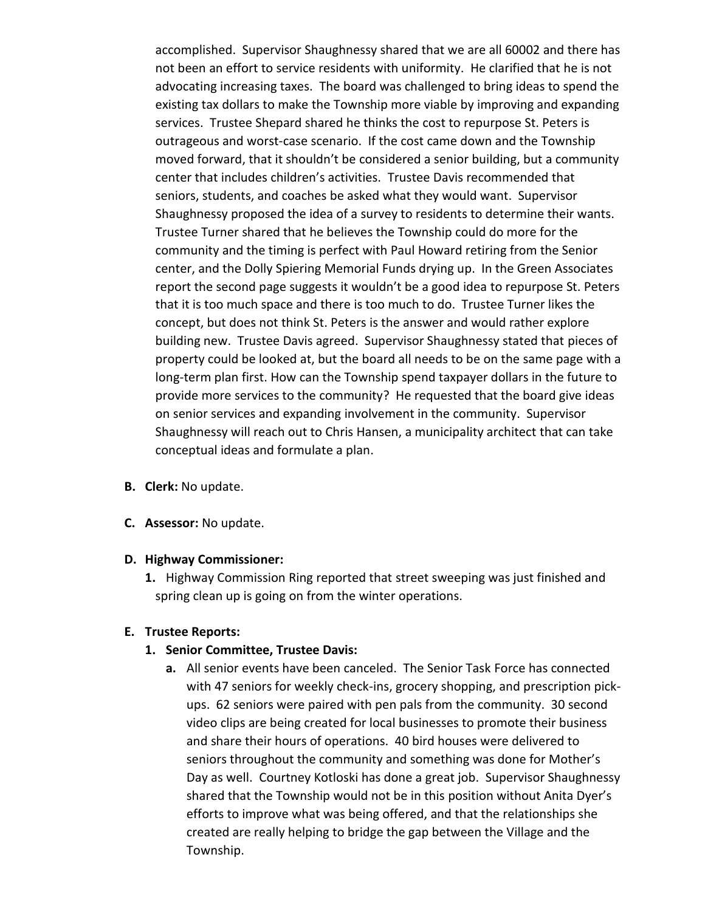accomplished. Supervisor Shaughnessy shared that we are all 60002 and there has not been an effort to service residents with uniformity. He clarified that he is not advocating increasing taxes. The board was challenged to bring ideas to spend the existing tax dollars to make the Township more viable by improving and expanding services. Trustee Shepard shared he thinks the cost to repurpose St. Peters is outrageous and worst-case scenario. If the cost came down and the Township moved forward, that it shouldn't be considered a senior building, but a community center that includes children's activities. Trustee Davis recommended that seniors, students, and coaches be asked what they would want. Supervisor Shaughnessy proposed the idea of a survey to residents to determine their wants. Trustee Turner shared that he believes the Township could do more for the community and the timing is perfect with Paul Howard retiring from the Senior center, and the Dolly Spiering Memorial Funds drying up. In the Green Associates report the second page suggests it wouldn't be a good idea to repurpose St. Peters that it is too much space and there is too much to do. Trustee Turner likes the concept, but does not think St. Peters is the answer and would rather explore building new. Trustee Davis agreed. Supervisor Shaughnessy stated that pieces of property could be looked at, but the board all needs to be on the same page with a long-term plan first. How can the Township spend taxpayer dollars in the future to provide more services to the community? He requested that the board give ideas on senior services and expanding involvement in the community. Supervisor Shaughnessy will reach out to Chris Hansen, a municipality architect that can take conceptual ideas and formulate a plan.

- **B. Clerk:** No update.
- **C. Assessor:** No update.

#### **D. Highway Commissioner:**

**1.** Highway Commission Ring reported that street sweeping was just finished and spring clean up is going on from the winter operations.

### **E. Trustee Reports:**

### **1. Senior Committee, Trustee Davis:**

**a.** All senior events have been canceled. The Senior Task Force has connected with 47 seniors for weekly check-ins, grocery shopping, and prescription pickups. 62 seniors were paired with pen pals from the community. 30 second video clips are being created for local businesses to promote their business and share their hours of operations. 40 bird houses were delivered to seniors throughout the community and something was done for Mother's Day as well. Courtney Kotloski has done a great job. Supervisor Shaughnessy shared that the Township would not be in this position without Anita Dyer's efforts to improve what was being offered, and that the relationships she created are really helping to bridge the gap between the Village and the Township.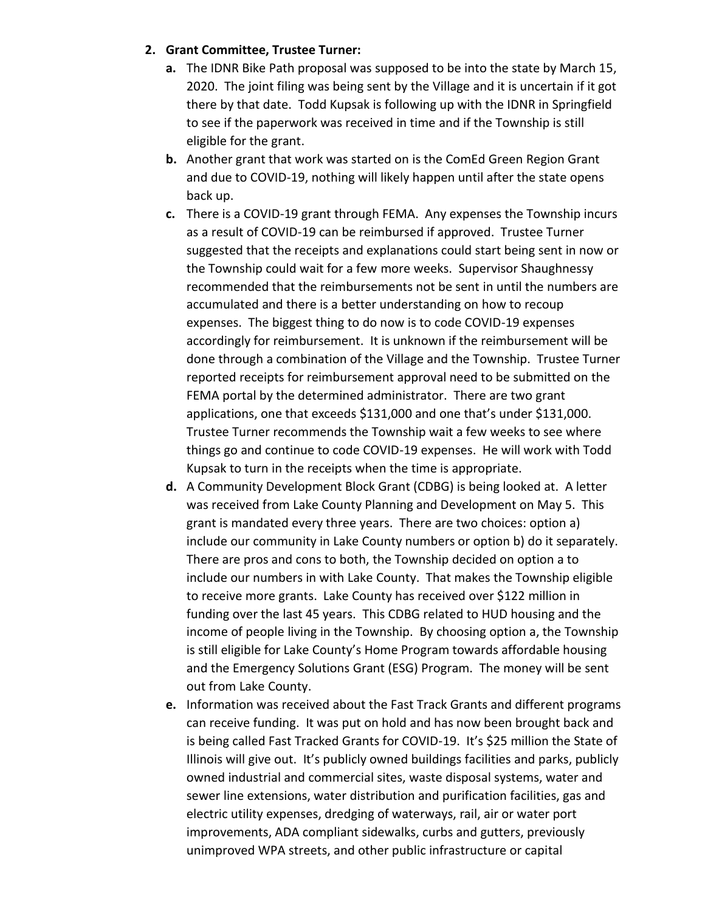# **2. Grant Committee, Trustee Turner:**

- **a.** The IDNR Bike Path proposal was supposed to be into the state by March 15, 2020. The joint filing was being sent by the Village and it is uncertain if it got there by that date. Todd Kupsak is following up with the IDNR in Springfield to see if the paperwork was received in time and if the Township is still eligible for the grant.
- **b.** Another grant that work was started on is the ComEd Green Region Grant and due to COVID-19, nothing will likely happen until after the state opens back up.
- **c.** There is a COVID-19 grant through FEMA. Any expenses the Township incurs as a result of COVID-19 can be reimbursed if approved. Trustee Turner suggested that the receipts and explanations could start being sent in now or the Township could wait for a few more weeks. Supervisor Shaughnessy recommended that the reimbursements not be sent in until the numbers are accumulated and there is a better understanding on how to recoup expenses. The biggest thing to do now is to code COVID-19 expenses accordingly for reimbursement. It is unknown if the reimbursement will be done through a combination of the Village and the Township. Trustee Turner reported receipts for reimbursement approval need to be submitted on the FEMA portal by the determined administrator. There are two grant applications, one that exceeds \$131,000 and one that's under \$131,000. Trustee Turner recommends the Township wait a few weeks to see where things go and continue to code COVID-19 expenses. He will work with Todd Kupsak to turn in the receipts when the time is appropriate.
- **d.** A Community Development Block Grant (CDBG) is being looked at. A letter was received from Lake County Planning and Development on May 5. This grant is mandated every three years. There are two choices: option a) include our community in Lake County numbers or option b) do it separately. There are pros and cons to both, the Township decided on option a to include our numbers in with Lake County. That makes the Township eligible to receive more grants. Lake County has received over \$122 million in funding over the last 45 years. This CDBG related to HUD housing and the income of people living in the Township. By choosing option a, the Township is still eligible for Lake County's Home Program towards affordable housing and the Emergency Solutions Grant (ESG) Program. The money will be sent out from Lake County.
- **e.** Information was received about the Fast Track Grants and different programs can receive funding. It was put on hold and has now been brought back and is being called Fast Tracked Grants for COVID-19. It's \$25 million the State of Illinois will give out. It's publicly owned buildings facilities and parks, publicly owned industrial and commercial sites, waste disposal systems, water and sewer line extensions, water distribution and purification facilities, gas and electric utility expenses, dredging of waterways, rail, air or water port improvements, ADA compliant sidewalks, curbs and gutters, previously unimproved WPA streets, and other public infrastructure or capital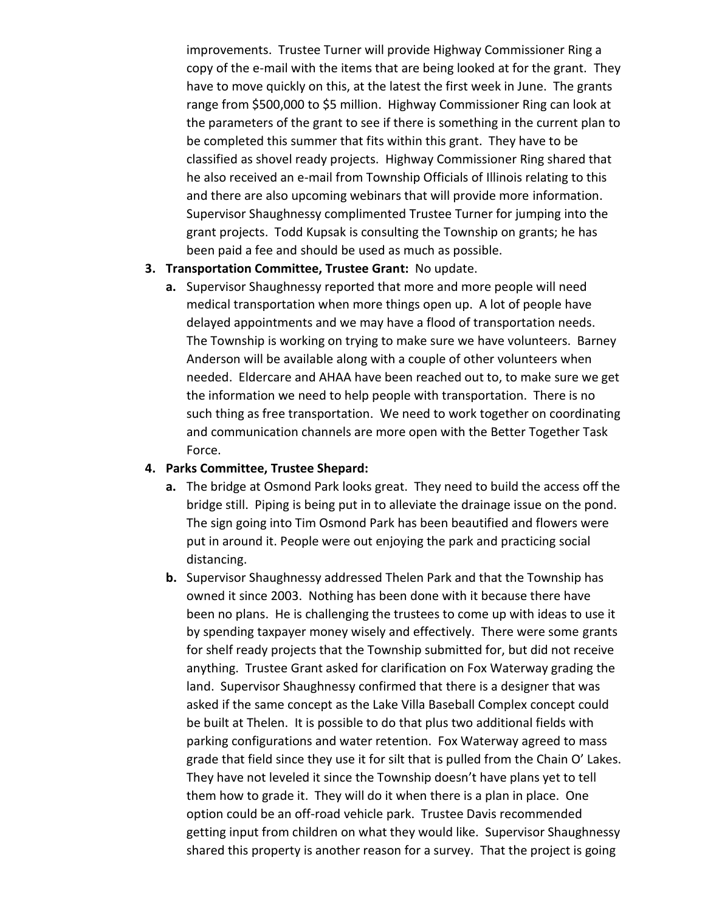improvements. Trustee Turner will provide Highway Commissioner Ring a copy of the e-mail with the items that are being looked at for the grant. They have to move quickly on this, at the latest the first week in June. The grants range from \$500,000 to \$5 million. Highway Commissioner Ring can look at the parameters of the grant to see if there is something in the current plan to be completed this summer that fits within this grant. They have to be classified as shovel ready projects. Highway Commissioner Ring shared that he also received an e-mail from Township Officials of Illinois relating to this and there are also upcoming webinars that will provide more information. Supervisor Shaughnessy complimented Trustee Turner for jumping into the grant projects. Todd Kupsak is consulting the Township on grants; he has been paid a fee and should be used as much as possible.

### **3. Transportation Committee, Trustee Grant:** No update.

**a.** Supervisor Shaughnessy reported that more and more people will need medical transportation when more things open up. A lot of people have delayed appointments and we may have a flood of transportation needs. The Township is working on trying to make sure we have volunteers. Barney Anderson will be available along with a couple of other volunteers when needed. Eldercare and AHAA have been reached out to, to make sure we get the information we need to help people with transportation. There is no such thing as free transportation. We need to work together on coordinating and communication channels are more open with the Better Together Task Force.

### **4. Parks Committee, Trustee Shepard:**

- **a.** The bridge at Osmond Park looks great. They need to build the access off the bridge still. Piping is being put in to alleviate the drainage issue on the pond. The sign going into Tim Osmond Park has been beautified and flowers were put in around it. People were out enjoying the park and practicing social distancing.
- **b.** Supervisor Shaughnessy addressed Thelen Park and that the Township has owned it since 2003. Nothing has been done with it because there have been no plans. He is challenging the trustees to come up with ideas to use it by spending taxpayer money wisely and effectively. There were some grants for shelf ready projects that the Township submitted for, but did not receive anything. Trustee Grant asked for clarification on Fox Waterway grading the land. Supervisor Shaughnessy confirmed that there is a designer that was asked if the same concept as the Lake Villa Baseball Complex concept could be built at Thelen. It is possible to do that plus two additional fields with parking configurations and water retention. Fox Waterway agreed to mass grade that field since they use it for silt that is pulled from the Chain O' Lakes. They have not leveled it since the Township doesn't have plans yet to tell them how to grade it. They will do it when there is a plan in place. One option could be an off-road vehicle park. Trustee Davis recommended getting input from children on what they would like. Supervisor Shaughnessy shared this property is another reason for a survey. That the project is going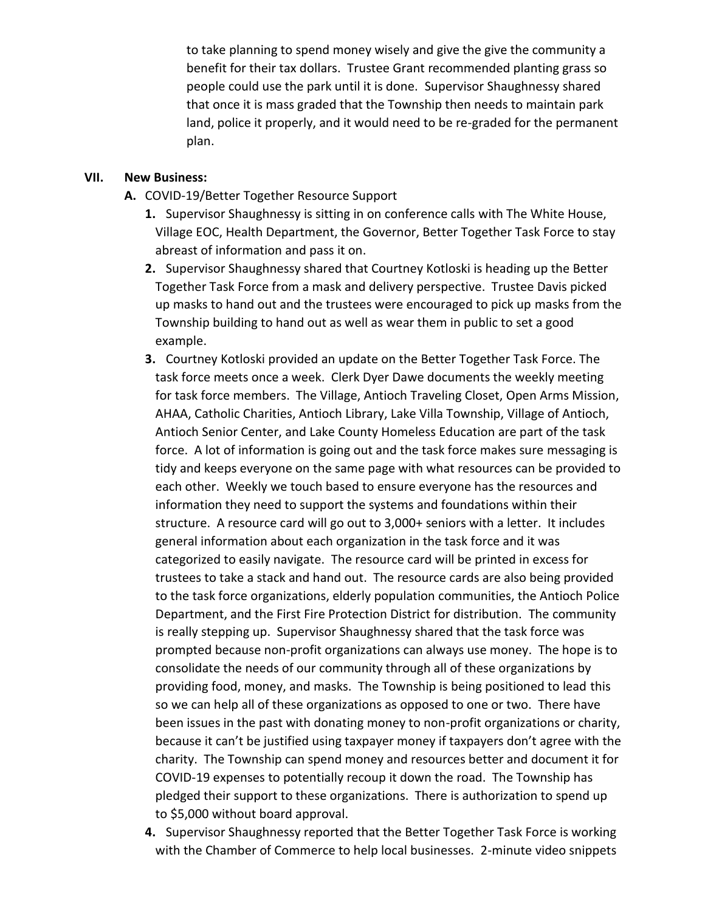to take planning to spend money wisely and give the give the community a benefit for their tax dollars. Trustee Grant recommended planting grass so people could use the park until it is done. Supervisor Shaughnessy shared that once it is mass graded that the Township then needs to maintain park land, police it properly, and it would need to be re-graded for the permanent plan.

### **VII. New Business:**

- **A.** COVID-19/Better Together Resource Support
	- **1.** Supervisor Shaughnessy is sitting in on conference calls with The White House, Village EOC, Health Department, the Governor, Better Together Task Force to stay abreast of information and pass it on.
	- **2.** Supervisor Shaughnessy shared that Courtney Kotloski is heading up the Better Together Task Force from a mask and delivery perspective. Trustee Davis picked up masks to hand out and the trustees were encouraged to pick up masks from the Township building to hand out as well as wear them in public to set a good example.
	- **3.** Courtney Kotloski provided an update on the Better Together Task Force. The task force meets once a week. Clerk Dyer Dawe documents the weekly meeting for task force members. The Village, Antioch Traveling Closet, Open Arms Mission, AHAA, Catholic Charities, Antioch Library, Lake Villa Township, Village of Antioch, Antioch Senior Center, and Lake County Homeless Education are part of the task force. A lot of information is going out and the task force makes sure messaging is tidy and keeps everyone on the same page with what resources can be provided to each other. Weekly we touch based to ensure everyone has the resources and information they need to support the systems and foundations within their structure. A resource card will go out to 3,000+ seniors with a letter. It includes general information about each organization in the task force and it was categorized to easily navigate. The resource card will be printed in excess for trustees to take a stack and hand out. The resource cards are also being provided to the task force organizations, elderly population communities, the Antioch Police Department, and the First Fire Protection District for distribution. The community is really stepping up. Supervisor Shaughnessy shared that the task force was prompted because non-profit organizations can always use money. The hope is to consolidate the needs of our community through all of these organizations by providing food, money, and masks. The Township is being positioned to lead this so we can help all of these organizations as opposed to one or two. There have been issues in the past with donating money to non-profit organizations or charity, because it can't be justified using taxpayer money if taxpayers don't agree with the charity. The Township can spend money and resources better and document it for COVID-19 expenses to potentially recoup it down the road. The Township has pledged their support to these organizations. There is authorization to spend up to \$5,000 without board approval.
	- **4.** Supervisor Shaughnessy reported that the Better Together Task Force is working with the Chamber of Commerce to help local businesses. 2-minute video snippets